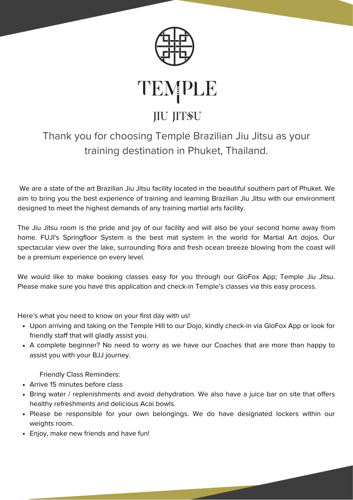

TEMPLE

# **JIU JITSU**

## Thank you for choosing Temple Brazilian Jiu Jitsu as your training destination in Phuket, Thailand.

We are a state of the art Brazilian Jiu Jitsu facility located in the beautiful southern part of Phuket. We aim to bring you the best experience of training and learning Brazilian Jiu Jitsu with our environment designed to meet the highest demands of any training martial arts facility.

The Jiu Jitsu room is the pride and joy of our facility and will also be your second home away from home. FUJI's Springfloor System is the best mat system in the world for Martial Art dojos. Our spectacular view over the lake, surrounding flora and fresh ocean breeze blowing from the coast will be a premium experience on every level.

We would like to make booking classes easy for you through our GloFox App; Temple Jiu Jitsu. Please make sure you have this application and check-in Temple's classes via this easy process.

Here's what you need to know on your first day with us!

- Upon arriving and taking on the Temple Hill to our Dojo, kindly check-in via GloFox App or look for friendly staff that will gladly assist you.
- A complete beginner? No need to worry as we have our Coaches that are more than happy to assist you with your BJJ journey.

Friendly Class Reminders:

- Arrive 15 minutes before class
- Bring water / replenishments and avoid dehydration. We also have a juice bar on site that offers healthy refreshments and delicious Acai bowls.
- Please be responsible for your own belongings. We do have designated lockers within our weights room.
- Enjoy, make new friends and have fun!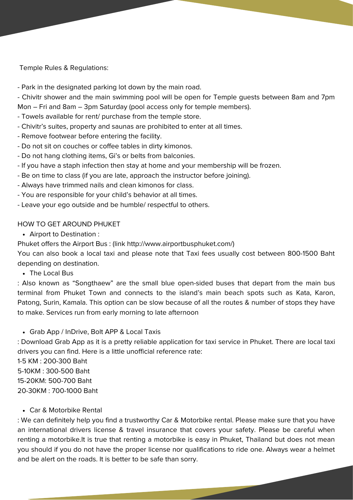Temple Rules & Regulations:

- Park in the designated parking lot down by the main road.

- Chivitr shower and the main swimming pool will be open for Temple guests between 8am and 7pm Mon – Fri and 8am – 3pm Saturday (pool access only for temple members).

- Towels available for rent/ purchase from the temple store.
- Chivitr's suites, property and saunas are prohibited to enter at all times.
- Remove footwear before entering the facility.
- Do not sit on couches or coffee tables in dirty kimonos.
- Do not hang clothing items, Gi's or belts from balconies.
- If you have a staph infection then stay at home and your membership will be frozen.
- Be on time to class (if you are late, approach the instructor before joining).
- Always have trimmed nails and clean kimonos for class.
- You are responsible for your child's behavior at all times.
- Leave your ego outside and be humble/ respectful to others.

#### HOW TO GET AROUND PHUKET

Airport to Destination :

Phuket offers the Airport Bus : (link <http://www.airportbusphuket.com/>)

You can also book a local taxi and please note that Taxi fees usually cost between 800-1500 Baht depending on destination.

• The Local Bus

: Also known as "Songthaew" are the small blue open-sided buses that depart from the main bus terminal from Phuket Town and connects to the island's main beach spots such as Kata, Karon, Patong, Surin, Kamala. This option can be slow because of all the routes & number of stops they have to make. Services run from early morning to late afternoon

#### Grab App / InDrive, Bolt APP & Local Taxis

: Download Grab App as it is a pretty reliable application for taxi service in Phuket. There are local taxi drivers you can find. Here is a little unofficial reference rate:

1-5 KM : 200-300 Baht 5-10KM : 300-500 Baht 15-20KM: 500-700 Baht 20-30KM : 700-1000 Baht

## Car & Motorbike Rental

: We can definitely help you find a trustworthy Car & Motorbike rental. Please make sure that you have an international drivers license & travel insurance that covers your safety. Please be careful when renting a motorbike.It is true that renting a motorbike is easy in Phuket, Thailand but does not mean you should if you do not have the proper license nor qualifications to ride one. Always wear a helmet and be alert on the roads. It is better to be safe than sorry.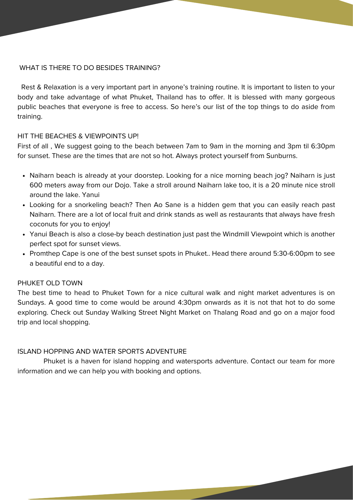#### WHAT IS THERE TO DO BESIDES TRAINING?

Rest & Relaxation is a very important part in anyone's training routine. It is important to listen to your body and take advantage of what Phuket, Thailand has to offer. It is blessed with many gorgeous public beaches that everyone is free to access. So here's our list of the top things to do aside from training.

## HIT THE BEACHES & VIEWPOINTS UP!

First of all , We suggest going to the beach between 7am to 9am in the morning and 3pm til 6:30pm for sunset. These are the times that are not so hot. Always protect yourself from Sunburns.

- Naiharn beach is already at your doorstep. Looking for a nice morning beach jog? Naiharn is just 600 meters away from our Dojo. Take a stroll around Naiharn lake too, it is a 20 minute nice stroll around the lake. Yanui
- Looking for a snorkeling beach? Then Ao Sane is a hidden gem that you can easily reach past Naiharn. There are a lot of local fruit and drink stands as well as restaurants that always have fresh coconuts for you to enjoy!
- Yanui Beach is also a close-by beach destination just past the Windmill Viewpoint which is another perfect spot for sunset views.
- Promthep Cape is one of the best sunset spots in Phuket.. Head there around 5:30-6:00pm to see a beautiful end to a day.

#### PHUKET OLD TOWN

The best time to head to Phuket Town for a nice cultural walk and night market adventures is on Sundays. A good time to come would be around 4:30pm onwards as it is not that hot to do some exploring. Check out Sunday Walking Street Night Market on Thalang Road and go on a major food trip and local shopping.

## ISLAND HOPPING AND WATER SPORTS ADVENTURE

Phuket is a haven for island hopping and watersports adventure. Contact our team for more information and we can help you with booking and options.